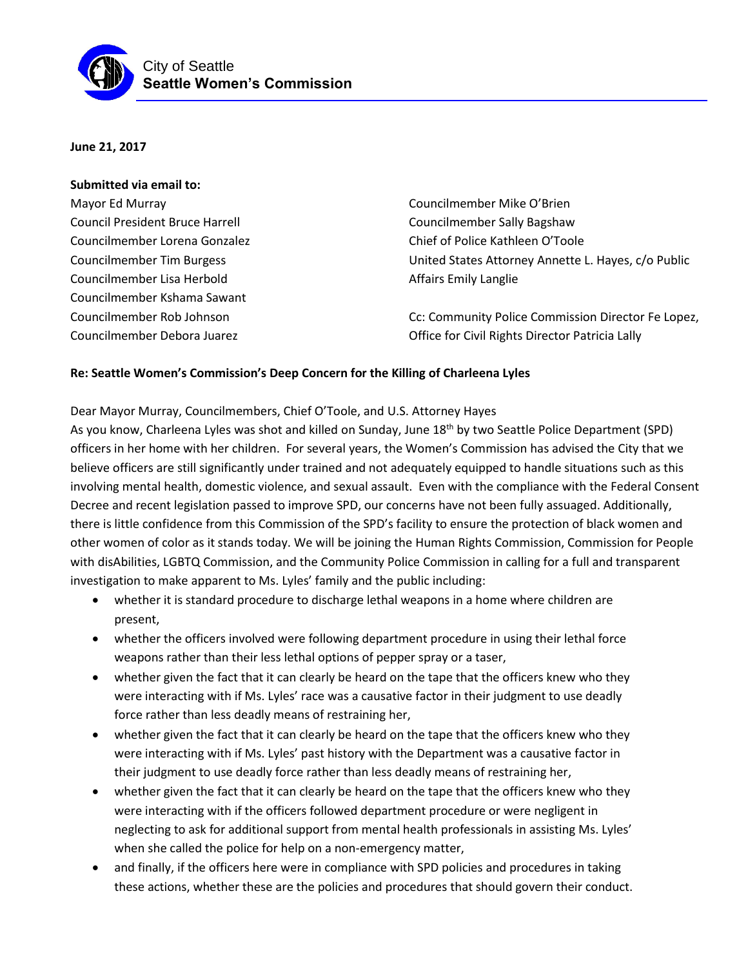

**June 21, 2017**

## **Submitted via email to:** Mayor Ed Murray Council President Bruce Harrell Councilmember Lorena Gonzalez Councilmember Tim Burgess Councilmember Lisa Herbold Councilmember Kshama Sawant Councilmember Rob Johnson Councilmember Debora Juarez Councilmember Mike O'Brien Councilmember Sally Bagshaw Chief of Police Kathleen O'Toole United States Attorney Annette L. Hayes, c/o Public Affairs Emily Langlie Cc: Community Police Commission Director Fe Lopez, Office for Civil Rights Director Patricia Lally

## **Re: Seattle Women's Commission's Deep Concern for the Killing of Charleena Lyles**

Dear Mayor Murray, Councilmembers, Chief O'Toole, and U.S. Attorney Hayes

As you know, Charleena Lyles was shot and killed on Sunday, June 18<sup>th</sup> by two Seattle Police Department (SPD) officers in her home with her children. For several years, the Women's Commission has advised the City that we believe officers are still significantly under trained and not adequately equipped to handle situations such as this involving mental health, domestic violence, and sexual assault. Even with the compliance with the Federal Consent Decree and recent legislation passed to improve SPD, our concerns have not been fully assuaged. Additionally, there is little confidence from this Commission of the SPD's facility to ensure the protection of black women and other women of color as it stands today. We will be joining the Human Rights Commission, Commission for People with disAbilities, LGBTQ Commission, and the Community Police Commission in calling for a full and transparent investigation to make apparent to Ms. Lyles' family and the public including:

- whether it is standard procedure to discharge lethal weapons in a home where children are present,
- whether the officers involved were following department procedure in using their lethal force weapons rather than their less lethal options of pepper spray or a taser,
- whether given the fact that it can clearly be heard on the tape that the officers knew who they were interacting with if Ms. Lyles' race was a causative factor in their judgment to use deadly force rather than less deadly means of restraining her,
- whether given the fact that it can clearly be heard on the tape that the officers knew who they were interacting with if Ms. Lyles' past history with the Department was a causative factor in their judgment to use deadly force rather than less deadly means of restraining her,
- whether given the fact that it can clearly be heard on the tape that the officers knew who they were interacting with if the officers followed department procedure or were negligent in neglecting to ask for additional support from mental health professionals in assisting Ms. Lyles' when she called the police for help on a non-emergency matter,
- and finally, if the officers here were in compliance with SPD policies and procedures in taking these actions, whether these are the policies and procedures that should govern their conduct.